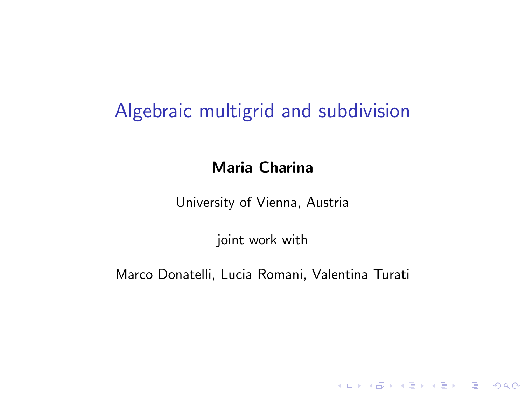# Algebraic multigrid and subdivision

## Maria Charina

University of Vienna, Austria

joint work with

Marco Donatelli, Lucia Romani, Valentina Turati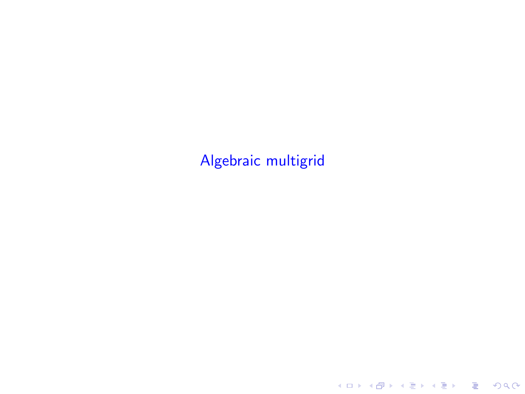# Algebraic multigrid

KOX KOX KEX KEX E 1990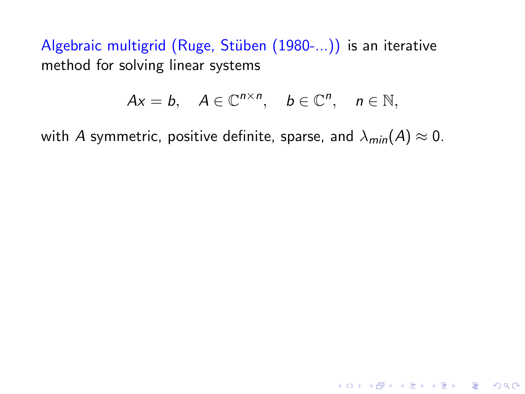Algebraic multigrid (Ruge, Stüben (1980-...)) is an iterative method for solving linear systems

$$
Ax = b, \quad A \in \mathbb{C}^{n \times n}, \quad b \in \mathbb{C}^n, \quad n \in \mathbb{N},
$$

with A symmetric, positive definite, sparse, and  $\lambda_{min}(A) \approx 0$ .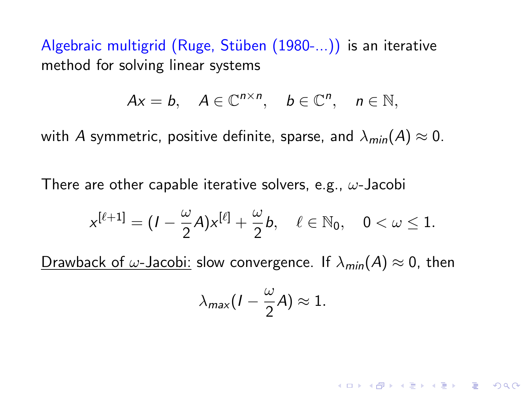Algebraic multigrid (Ruge, Stüben (1980-...)) is an iterative method for solving linear systems

$$
Ax = b, \quad A \in \mathbb{C}^{n \times n}, \quad b \in \mathbb{C}^n, \quad n \in \mathbb{N},
$$

with A symmetric, positive definite, sparse, and  $\lambda_{min}(A) \approx 0$ .

There are other capable iterative solvers, e.g.,  $\omega$ -Jacobi

$$
x^{[\ell+1]}=(I-\frac{\omega}{2}A)x^{[\ell]}+\frac{\omega}{2}b,\quad \ell\in\mathbb{N}_0,\quad 0<\omega\leq 1.
$$

Drawback of  $\omega$ -Jacobi: slow convergence. If  $\lambda_{min}(A) \approx 0$ , then

$$
\lambda_{\text{max}}(I-\frac{\omega}{2}A)\approx 1.
$$

**KORKAR KERKER DRAM**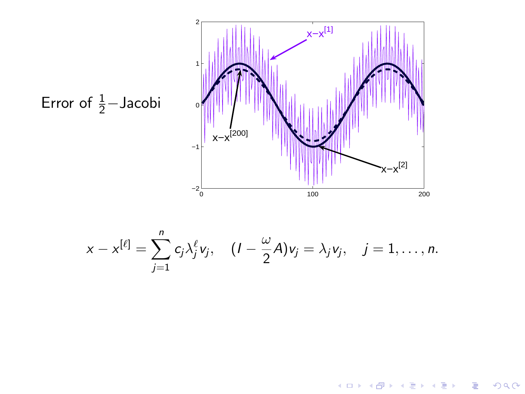

メロメ メ都 メメ きょ メモメ

- 1월 11

 $299$ 

Error of 
$$
\frac{1}{2}
$$
 - Jacobi

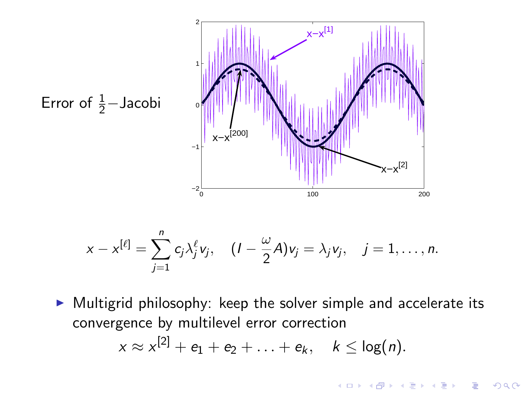

$$
x-x^{[\ell]}=\sum_{j=1}^n c_j\lambda_j^{\ell}v_j, \quad (1-\frac{\omega}{2}A)v_j=\lambda_jv_j, \quad j=1,\ldots,n.
$$

 $\triangleright$  Multigrid philosophy: keep the solver simple and accelerate its convergence by multilevel error correction

$$
x \approx x^{[2]} + e_1 + e_2 + \ldots + e_k, \quad k \leq \log(n).
$$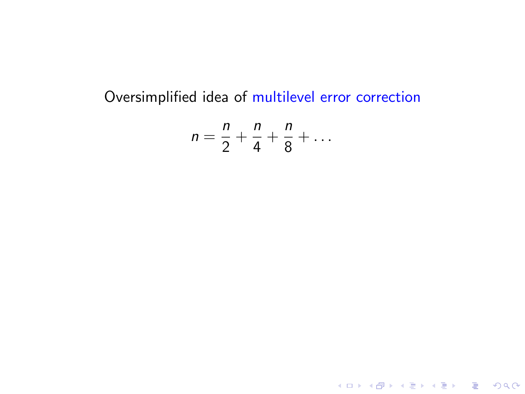## Oversimplified idea of multilevel error correction

$$
n=\frac{n}{2}+\frac{n}{4}+\frac{n}{8}+\ldots
$$

**K ロ ▶ K 레 ▶ K 로 ▶ K 로 ▶ - 로 - K 이 이 이 이**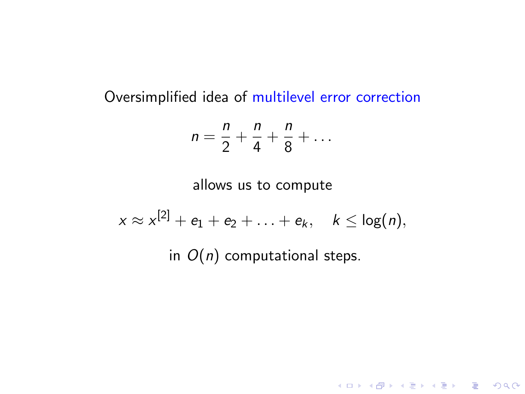#### Oversimplified idea of multilevel error correction

$$
n=\frac{n}{2}+\frac{n}{4}+\frac{n}{8}+\ldots
$$

allows us to compute

$$
x \approx x^{[2]} + e_1 + e_2 + \ldots + e_k, \quad k \leq \log(n),
$$

in  $O(n)$  computational steps.

K ロ ▶ K @ ▶ K 할 ▶ K 할 ▶ | 할 | ⊙Q @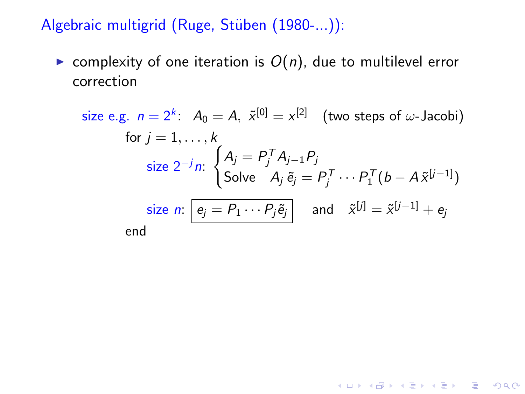Algebraic multigrid (Ruge, Stüben (1980-...)):

▶ complexity of one iteration is  $O(n)$ , due to multilevel error correction

size e.g. 
$$
n = 2^k
$$
:  $A_0 = A$ ,  $\tilde{x}^{[0]} = x^{[2]}$  (two steps of  $\omega$ -Jacobi)  
for  $j = 1, ..., k$   
size  $2^{-j}n$ :  $\begin{cases} A_j = P_j^T A_{j-1} P_j \\ \text{Solve } A_j \tilde{e}_j = P_j^T ... P_1^T (b - A \tilde{x}^{[j-1]}) \end{cases}$   
size  $n$ :  $\boxed{e_j = P_1 ... P_j \tilde{e}_j}$  and  $\tilde{x}^{[j]} = \tilde{x}^{[j-1]} + e_j$   
end

KO KKOKKERKER E 1990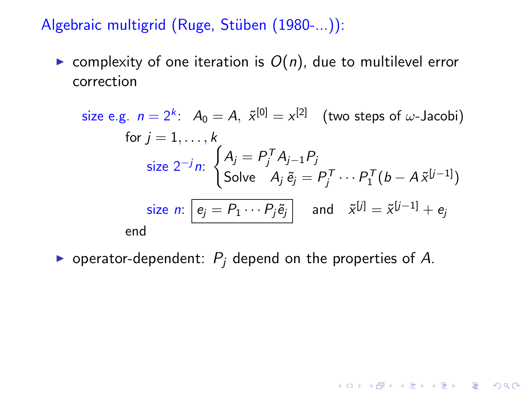Algebraic multigrid (Ruge, Stüben (1980-...)):

► complexity of one iteration is  $O(n)$ , due to multilevel error correction

size e.g. 
$$
n = 2^k
$$
:  $A_0 = A$ ,  $\tilde{x}^{[0]} = x^{[2]}$  (two steps of  $\omega$ -Jacobi)  
for  $j = 1, ..., k$   
size  $2^{-j}n$ :  $\begin{cases} A_j = P_j^T A_{j-1} P_j \\ \text{Solve } A_j \tilde{e}_j = P_j^T ... P_1^T (b - A \tilde{x}^{[j-1]}) \end{cases}$   
size  $n$ :  $\boxed{e_j = P_1 ... P_j \tilde{e}_j}$  and  $\tilde{x}^{[j]} = \tilde{x}^{[j-1]} + e_j$   
end

▶ operator-dependent:  $P_i$  depend on the properties of A.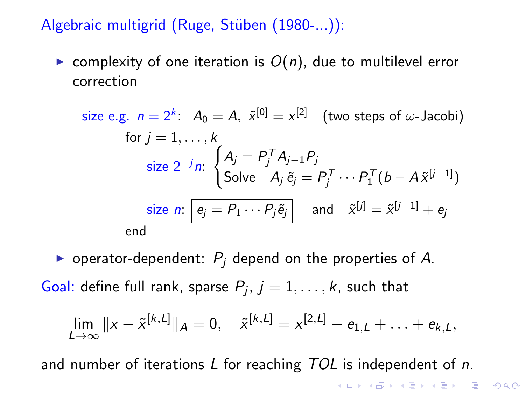Algebraic multigrid (Ruge, Stüben (1980-...)):

► complexity of one iteration is  $O(n)$ , due to multilevel error correction

size e.g. 
$$
n = 2^k
$$
:  $A_0 = A$ ,  $\tilde{x}^{[0]} = x^{[2]}$  (two steps of  $\omega$ -Jacobi)  
for  $j = 1, ..., k$   
size  $2^{-j}n$ :  $\begin{cases} A_j = P_j^T A_{j-1} P_j \\ \text{Solve } A_j \tilde{e}_j = P_j^T ... P_1^T (b - A \tilde{x}^{[j-1]}) \end{cases}$   
size  $n$ :  $\boxed{e_j = P_1 ... P_j \tilde{e}_j}$  and  $\tilde{x}^{[j]} = \tilde{x}^{[j-1]} + e_j$   
end

▶ operator-dependent:  $P_i$  depend on the properties of A.

<u>Goal:</u> define full rank, sparse  $P_j$ ,  $j=1,\ldots,k$ , such that

$$
\lim_{L\to\infty}||x-\tilde{x}^{[k,L]}||_A=0, \quad \tilde{x}^{[k,L]}=x^{[2,L]}+e_{1,L}+\ldots+e_{k,L},
$$

and number of iterations  $L$  for reaching  $TOL$  is independent of n.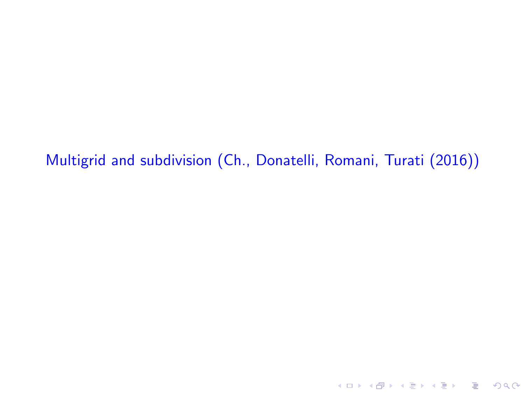Multigrid and subdivision (Ch., Donatelli, Romani, Turati (2016))

**K ロ ▶ K 레 ▶ K 로 ▶ K 로 ▶ - 로 - K 이 이 이 이**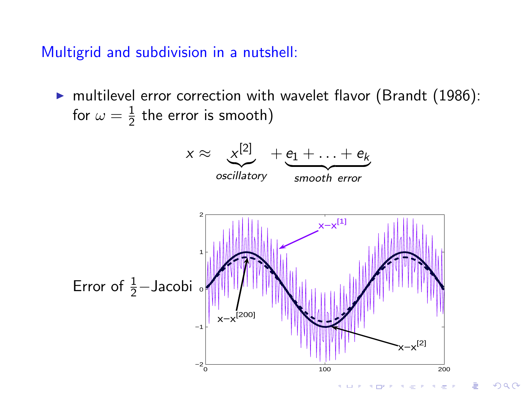Multigrid and subdivision in a nutshell:

 $\triangleright$  multilevel error correction with wavelet flavor (Brandt (1986): for  $\omega=\frac{1}{2}$  $\frac{1}{2}$  the error is smooth)

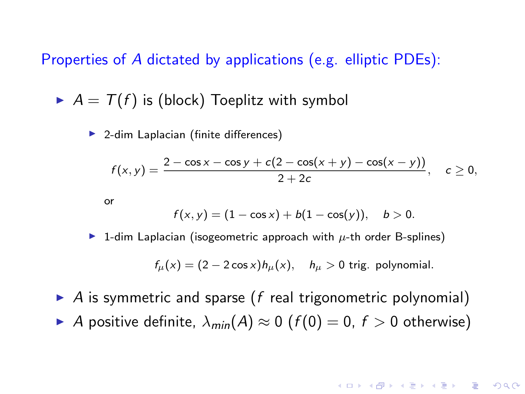Properties of A dictated by applications (e.g. elliptic PDEs):

 $\blacktriangleright$   $A = \mathcal{T}(f)$  is (block) Toeplitz with symbol

▶ 2-dim Laplacian (finite differences)

$$
f(x,y) = \frac{2 - \cos x - \cos y + c(2 - \cos(x+y) - \cos(x-y))}{2 + 2c}, \quad c \ge 0,
$$

or

$$
f(x,y) = (1 - \cos x) + b(1 - \cos(y)), \quad b > 0.
$$

 $\triangleright$  1-dim Laplacian (isogeometric approach with  $\mu$ -th order B-splines)

 $f_{\mu}(x) = (2 - 2 \cos x) h_{\mu}(x), \quad h_{\mu} > 0$  trig. polynomial.

**A O A G A 4 O A G A G A 4 O A 4 O A 4 O A 4 O A 4 O A 4 O A 4 O A 4 O A 4 O A 4 O A 4 O A 4 O A 4 O A** 

- $\triangleright$  A is symmetric and sparse (f real trigonometric polynomial)
- A positive definite,  $\lambda_{min}(A) \approx 0$  ( $f(0) = 0$ ,  $f > 0$  otherwise)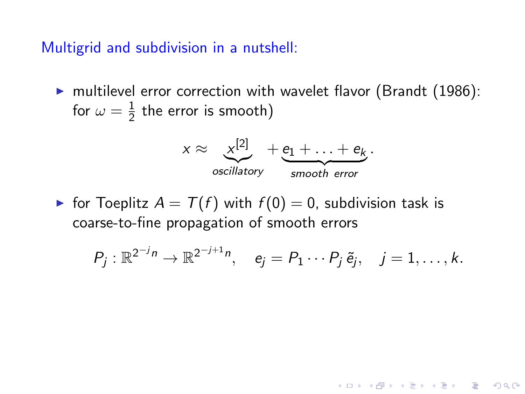Multigrid and subdivision in a nutshell:

 $\triangleright$  multilevel error correction with wavelet flavor (Brandt (1986): for  $\omega=\frac{1}{2}$  $\frac{1}{2}$  the error is smooth)



► for Toeplitz  $A = T(f)$  with  $f(0) = 0$ , subdivision task is coarse-to-fine propagation of smooth errors

$$
P_j: \mathbb{R}^{2^{-j}n} \to \mathbb{R}^{2^{-j+1}n}, \quad e_j = P_1 \cdots P_j \tilde{e}_j, \quad j = 1, \ldots, k.
$$

**A O A G A 4 O A G A G A 4 O A 4 O A 4 O A 4 O A 4 O A 4 O A 4 O A 4 O A 4 O A 4 O A 4 O A 4 O A 4 O A**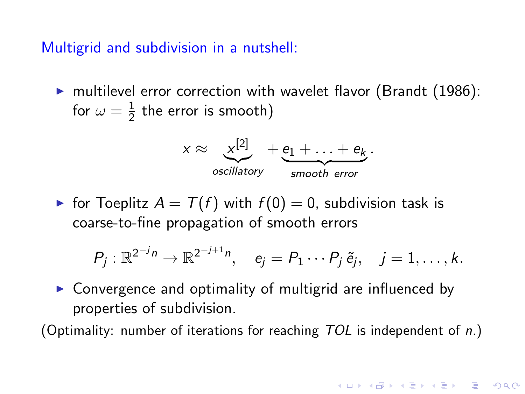Multigrid and subdivision in a nutshell:

 $\triangleright$  multilevel error correction with wavelet flavor (Brandt (1986): for  $\omega=\frac{1}{2}$  $\frac{1}{2}$  the error is smooth)



► for Toeplitz  $A = T(f)$  with  $f(0) = 0$ , subdivision task is coarse-to-fine propagation of smooth errors

$$
P_j: \mathbb{R}^{2^{-j}n} \to \mathbb{R}^{2^{-j+1}n}, \quad e_j = P_1 \cdots P_j \tilde{e}_j, \quad j = 1, \ldots, k.
$$

**A O A G A 4 O A G A G A 4 O A 4 O A 4 O A 4 O A 4 O A 4 O A 4 O A 4 O A 4 O A 4 O A 4 O A 4 O A 4 O A** 

▶ Convergence and optimality of multigrid are influenced by properties of subdivision.

(Optimality: number of iterations for reaching  $TOL$  is independent of n.)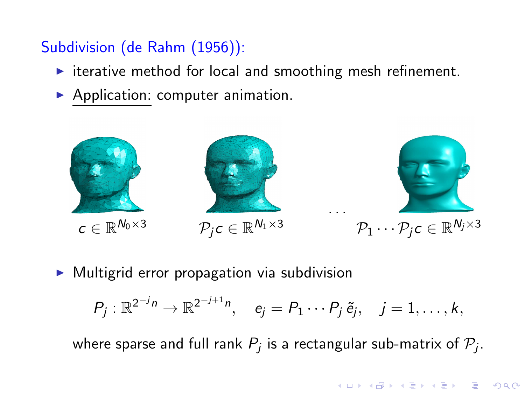# Subdivision (de Rahm (1956)):

- $\triangleright$  iterative method for local and smoothing mesh refinement.
- ▶ Application: computer animation.



▶ Multigrid error propagation via subdivision

$$
P_j: \mathbb{R}^{2^{-j}n} \to \mathbb{R}^{2^{-j+1}n}, \quad e_j = P_1 \cdots P_j \tilde{e}_j, \quad j = 1, \ldots, k,
$$

where sparse and full rank  $P_j$  is a rectangular sub-matrix of  $\mathcal{P}_j.$ 

**A DIA K RIA K E A SA K H A K RIA K LE A SA CA**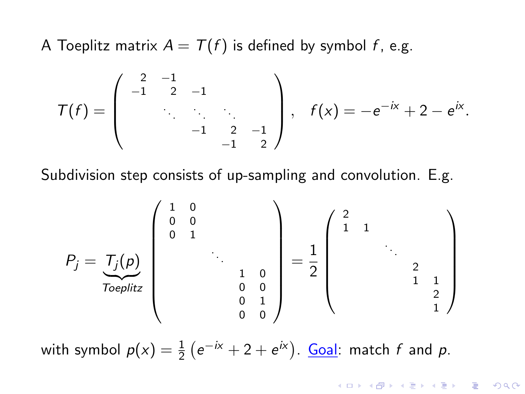A Toeplitz matrix  $A = T(f)$  is defined by symbol f, e.g.

$$
\mathcal{T}(f) = \left( \begin{array}{cccc} 2 & -1 & & & \\ -1 & 2 & -1 & & \\ & \ddots & \ddots & \ddots & \\ & & -1 & 2 & -1 \\ & & & -1 & 2 \end{array} \right), \quad f(x) = -e^{-ix} + 2 - e^{ix}.
$$

Subdivision step consists of up-sampling and convolution. E.g.

$$
P_j = \underbrace{T_j(p)}_{Toeplitz} \begin{pmatrix} 1 & 0 & & & & \\ 0 & 0 & & & & \\ & & 1 & & & \\ & & & \ddots & & \\ & & & & 1 & 0 \\ & & & & 0 & 0 \\ & & & & 0 & 1 \\ & & & & 0 & 0 \end{pmatrix} = \frac{1}{2} \begin{pmatrix} 2 & & & & & \\ 1 & 1 & & & & \\ & & \ddots & & & \\ & & & 2 & & \\ & & & & 1 & 1 \\ & & & & & 2 \\ & & & & & 1 \end{pmatrix}
$$

with symbol  $p(x) = \frac{1}{2} (e^{-ix} + 2 + e^{ix})$ . <u>Goal</u>: match f and p.

KID KA KERKER E VOOR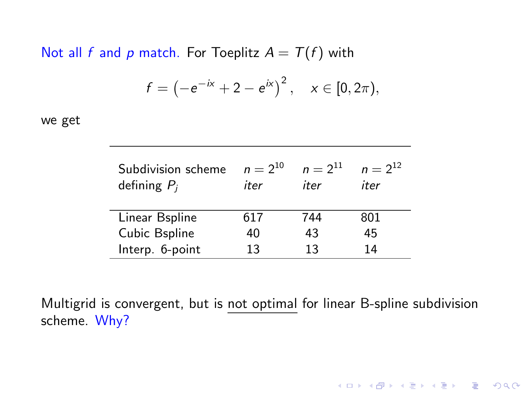Not all f and p match. For Toeplitz  $A = T(f)$  with

$$
f = \left(-e^{-ix} + 2 - e^{ix}\right)^2, \quad x \in [0, 2\pi),
$$

we get

| Subdivision scheme<br>defining $P_i$ | $n = 2^{10}$<br>iter | $n = 2^{11}$<br>iter | $n = 2^{12}$<br>iter |
|--------------------------------------|----------------------|----------------------|----------------------|
| Linear Bspline                       | 617                  | 744                  | 801                  |
| Cubic Bspline                        | 40                   | 43                   | 45                   |
| Interp. 6-point                      | 13                   | 13                   | 14                   |

Multigrid is convergent, but is not optimal for linear B-spline subdivision scheme. Why?

K ロ ▶ K @ ▶ K 할 ▶ K 할 ▶ | 할 | © 9 Q @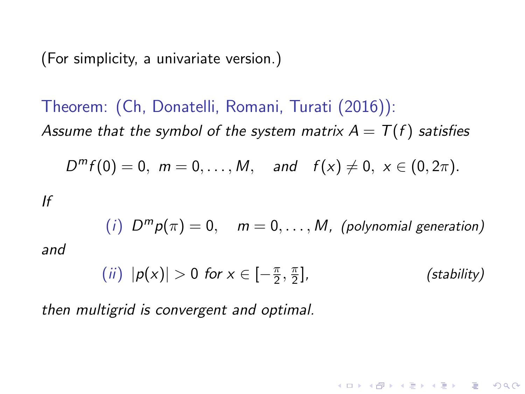(For simplicity, a univariate version.)

Theorem: (Ch, Donatelli, Romani, Turati (2016)): Assume that the symbol of the system matrix  $A = T(f)$  satisfies

$$
D^{m} f(0) = 0, \ m = 0, \ldots, M, \quad \text{and} \quad f(x) \neq 0, \ x \in (0, 2\pi).
$$

If

(*i*) 
$$
D^m p(\pi) = 0
$$
,  $m = 0, ..., M$ , (polynomial generation)

and

$$
(ii) |p(x)| > 0 \text{ for } x \in \left[-\frac{\pi}{2}, \frac{\pi}{2}\right],
$$
 (stability)

**A DIA K RIA K E A SA K H A K RIA K LE A SA CA** 

then multigrid is convergent and optimal.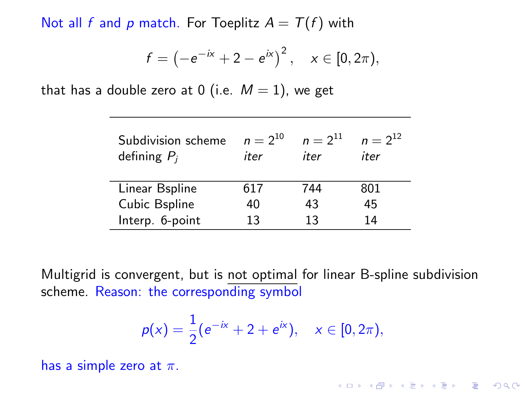Not all f and p match. For Toeplitz  $A = T(f)$  with

$$
f = \left(-e^{-ix} + 2 - e^{ix}\right)^2, \quad x \in [0, 2\pi),
$$

that has a double zero at 0 (i.e.  $M = 1$ ), we get

| Subdivision scheme<br>defining $P_i$ | $n = 2^{10}$<br>iter | $n = 2^{11}$<br>iter | $n = 2^{12}$<br>iter |
|--------------------------------------|----------------------|----------------------|----------------------|
| Linear Bspline                       | 617                  | 744                  | 801                  |
| Cubic Bspline                        | 40                   | 43                   | 45                   |
| Interp. 6-point                      | 13                   | 13                   | 14                   |

Multigrid is convergent, but is not optimal for linear B-spline subdivision scheme. Reason: the corresponding symbol

$$
p(x) = \frac{1}{2}(e^{-ix} + 2 + e^{ix}), \quad x \in [0, 2\pi),
$$

has a simple zero at  $\pi$ .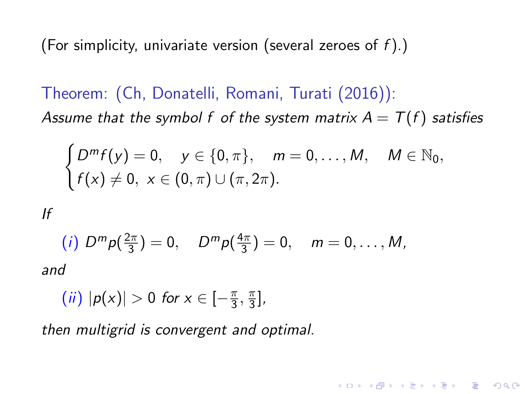(For simplicity, univariate version (several zeroes of  $f$ ).)

Theorem: (Ch, Donatelli, Romani, Turati (2016)): Assume that the symbol f of the system matrix  $A = T(f)$  satisfies

$$
\begin{cases}\nD^m f(y) = 0, & y \in \{0, \pi\}, \\
f(x) \neq 0, & x \in (0, \pi) \cup (\pi, 2\pi).\n\end{cases}
$$
\n
$$
M \in \mathbb{N}_0
$$

**A DIA K RIA K E A SA K H A K RIA K LE A SA CA** 

If

(i) 
$$
D^m p(\frac{2\pi}{3}) = 0
$$
,  $D^m p(\frac{4\pi}{3}) = 0$ ,  $m = 0, ..., M$ ,

and

$$
(ii) |p(x)| > 0 \text{ for } x \in [-\frac{\pi}{3}, \frac{\pi}{3}],
$$

then multigrid is convergent and optimal.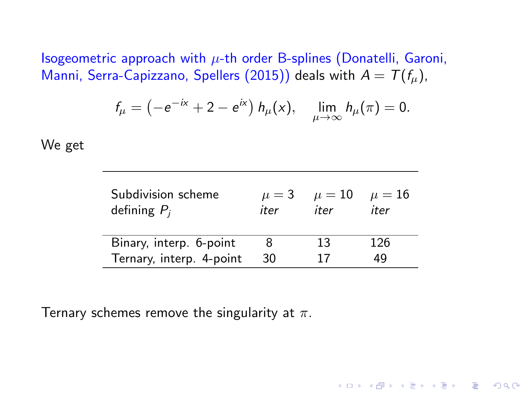Isogeometric approach with  $\mu$ -th order B-splines (Donatelli, Garoni, Manni, Serra-Capizzano, Spellers (2015)) deals with  $A = T(f_\mu)$ ,

$$
f_{\mu}=\left(-e^{-i x}+2-e^{i x}\right)h_{\mu}(x), \quad \lim_{\mu\to\infty}h_{\mu}(\pi)=0.
$$

We get

| Subdivision scheme<br>defining $P_i$ | $\mu = 3$<br>iter | $\mu = 10$<br>iter | $\mu = 16$<br>iter |
|--------------------------------------|-------------------|--------------------|--------------------|
| Binary, interp. 6-point              | 8                 | 13                 | 126                |
| Ternary, interp. 4-point             | 30                | 17                 | 49                 |

K ロ X K @ X K 할 X K 할 X 및 및 X Q Q Q

Ternary schemes remove the singularity at  $\pi$ .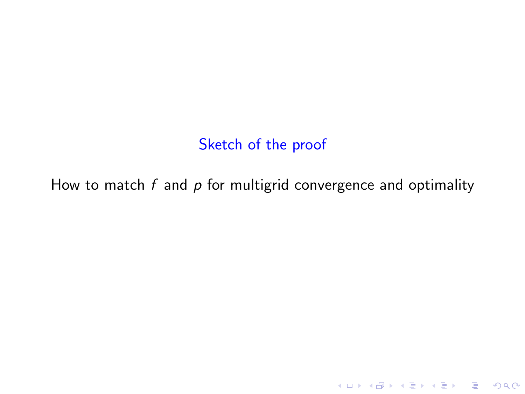Sketch of the proof

How to match  $f$  and  $p$  for multigrid convergence and optimality

K ロ ▶ K @ ▶ K 할 ▶ K 할 ▶ | 할 | ⊙Q @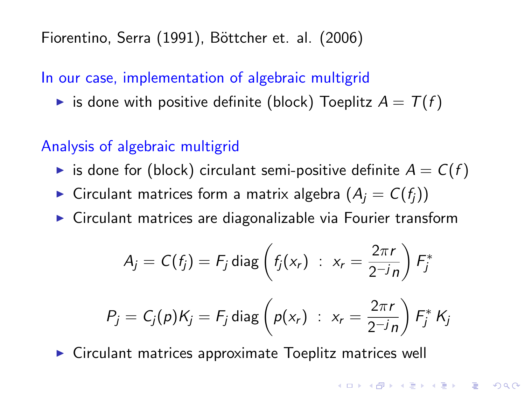Fiorentino, Serra (1991), Böttcher et. al. (2006)

In our case, implementation of algebraic multigrid

is done with positive definite (block) Toeplitz  $A = T(f)$ 

### Analysis of algebraic multigrid

- is done for (block) circulant semi-positive definite  $A = C(f)$
- ► Circulant matrices form a matrix algebra  $(A_i = C(f_i))$
- ► Circulant matrices are diagonalizable via Fourier transform

$$
A_j = C(f_j) = F_j \operatorname{diag} \left( f_j(x_r) : x_r = \frac{2\pi r}{2^{-j}n} \right) F_j^*
$$
  

$$
P_j = C_j(p)K_j = F_j \operatorname{diag} \left( p(x_r) : x_r = \frac{2\pi r}{2^{-j}n} \right) F_j^* K_j
$$

**K ロ ▶ K 個 ▶ K 필 ▶ K 필 ▶ - 필 - 10 Q Q Q** 

 $\triangleright$  Circulant matrices approximate Toeplitz matrices well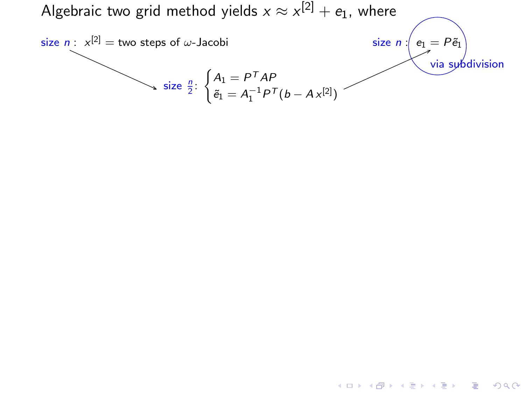

 $4$  ロ )  $4$   $\overline{r}$  )  $4$   $\overline{z}$  )  $4$   $\overline{z}$  )

 $2Q$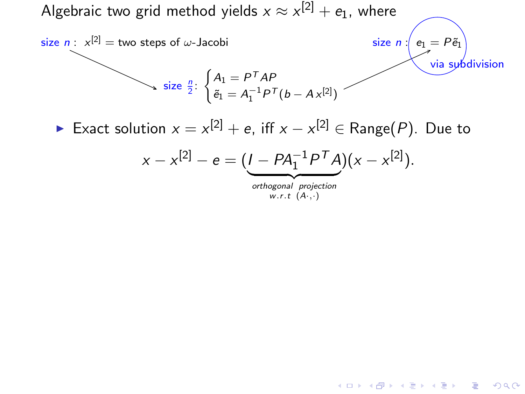

 $w.r.t$   $(A...)$ 

 $4$  ロ )  $4$   $\overline{r}$  )  $4$   $\overline{z}$  )  $4$   $\overline{z}$  )

 $QQ$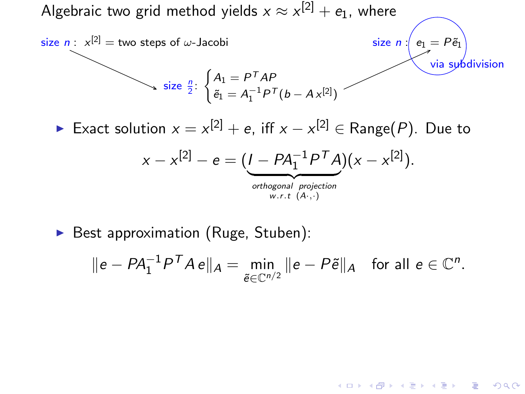

▶ Best approximation (Ruge, Stuben):

$$
\|e - PA_1^{-1}P^T A e\|_A = \min_{\tilde{e} \in \mathbb{C}^{n/2}} \|e - P\tilde{e}\|_A \quad \text{for all } e \in \mathbb{C}^n.
$$

 $4$  ロ )  $4$   $\overline{r}$  )  $4$   $\overline{z}$  )  $4$   $\overline{z}$  )

 $299$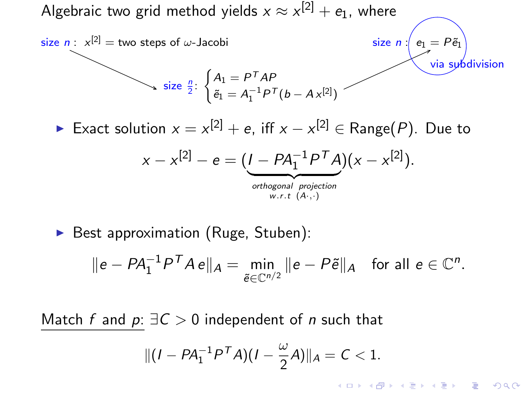

▶ Best approximation (Ruge, Stuben):

$$
\|e - PA_1^{-1}P^T A e\|_A = \min_{\tilde{e} \in \mathbb{C}^{n/2}} \|e - P\tilde{e}\|_A \quad \text{for all } e \in \mathbb{C}^n.
$$

Match f and  $p: \exists C > 0$  independent of n such that

$$
||(I - PA_1^{-1}P^T A)(I - \frac{\omega}{2}A)||_A = C < 1.
$$

 $(1 - 4)$   $(1 - 4)$   $(1 - 4)$   $(1 - 4)$   $(1 - 4)$   $(1 - 4)$   $(1 - 4)$   $(1 - 4)$   $(1 - 4)$   $(1 - 4)$   $(1 - 4)$   $(1 - 4)$   $(1 - 4)$   $(1 - 4)$   $(1 - 4)$   $(1 - 4)$   $(1 - 4)$   $(1 - 4)$   $(1 - 4)$   $(1 - 4)$   $(1 - 4)$   $(1 - 4)$   $(1 - 4)$   $(1 - 4)$   $(1 -$ 

 $2990$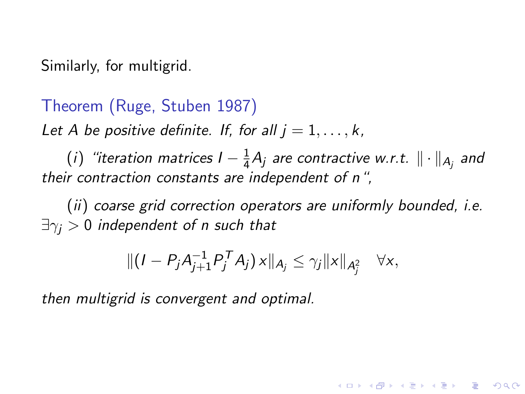Similarly, for multigrid.

Theorem (Ruge, Stuben 1987)

Let A be positive definite. If, for all  $j = 1, \ldots, k$ ,

(i) "iteration matrices  $I-\frac{1}{4}$  $\frac{1}{4}A_{j}$  are contractive w.r.t.  $\|\cdot\|_{A_{j}}$  and their contraction constants are independent of n",

(ii) coarse grid correction operators are uniformly bounded, i.e.  $\exists \gamma_i > 0$  independent of n such that

$$
\| (I - P_j A_{j+1}^{-1} P_j^T A_j) \, x \|_{A_j} \leq \gamma_j \| x \|_{A_j^2} \quad \forall x,
$$

**A DIA K RIA K E A SA K H A K RIA K LE A SA CA** 

then multigrid is convergent and optimal.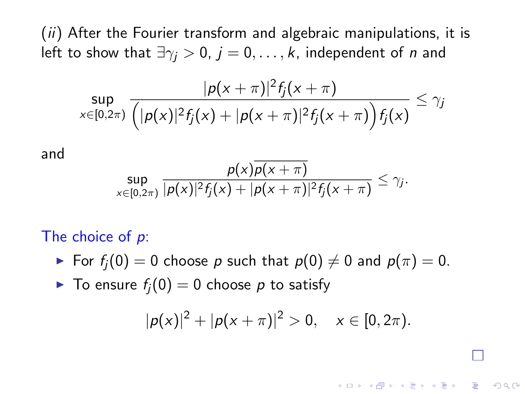(ii) After the Fourier transform and algebraic manipulations, it is left to show that  $\exists \gamma_i > 0$ ,  $j = 0, \ldots, k$ , independent of *n* and

$$
\sup_{x\in[0,2\pi)}\frac{|p(x+\pi)|^2f_j(x+\pi)}{\left(|p(x)|^2f_j(x)+|p(x+\pi)|^2f_j(x+\pi)\right)f_j(x)}\leq \gamma_j
$$

and

$$
\sup_{x\in[0,2\pi)}\frac{p(x)\overline{p(x+\pi)}}{|p(x)|^2f_j(x)+|p(x+\pi)|^2f_j(x+\pi)}\leq\gamma_j.
$$

#### The choice of  $p$ :

- For  $f_i(0) = 0$  choose p such that  $p(0) \neq 0$  and  $p(\pi) = 0$ .
- $\blacktriangleright$  To ensure  $f_i(0) = 0$  choose p to satisfy

$$
|p(x)|^2 + |p(x+\pi)|^2 > 0, \quad x \in [0, 2\pi).
$$

**A DIA K RIA K E A SA K H A K RIA K LE A SA CA**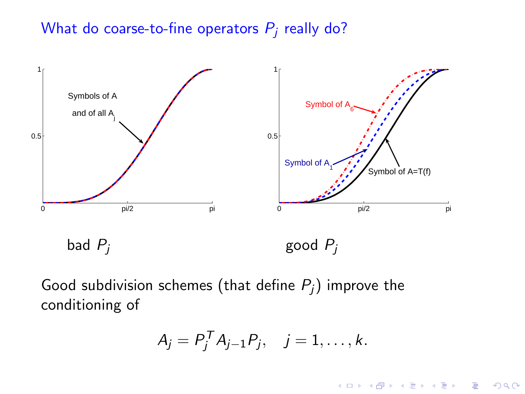#### What do coarse-to-fine operators  $P_i$  really do?



Good subdivision schemes (that define  $P_i$ ) improve the conditioning of

$$
A_j = P_j^T A_{j-1} P_j, \quad j = 1, \ldots, k.
$$

 $\overline{z}$  (  $\overline{z}$  )  $\overline{z}$  )  $\overline{z}$  )  $\overline{z}$  )  $\overline{z}$ 

 $2990$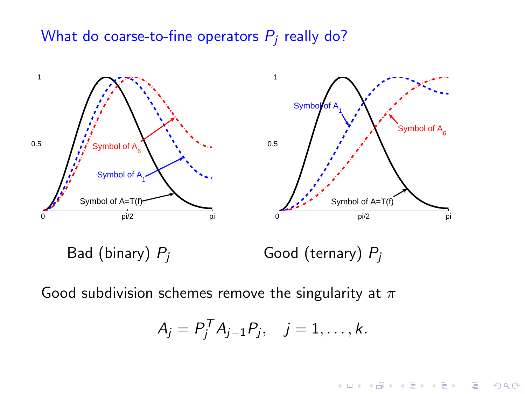#### What do coarse-to-fine operators  $P_i$  really do?



Good subdivision schemes remove the singularity at  $\pi$ 

$$
A_j = P_j^T A_{j-1} P_j, \quad j = 1, \ldots, k.
$$

 $4$  ロ )  $4$   $\overline{r}$  )  $4$   $\overline{z}$  )  $4$   $\overline{z}$  )

 $\equiv$ 

 $299$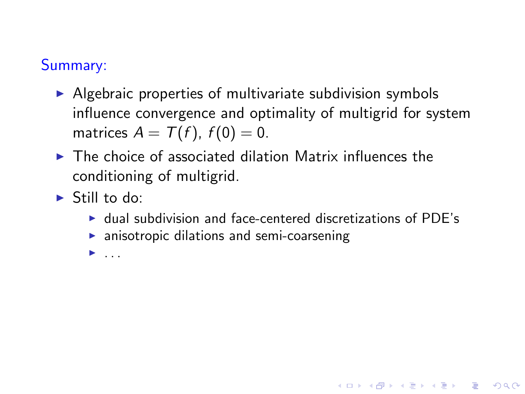## Summary:

- $\triangleright$  Algebraic properties of multivariate subdivision symbols influence convergence and optimality of multigrid for system matrices  $A = T(f)$ ,  $f(0) = 0$ .
- $\blacktriangleright$  The choice of associated dilation Matrix influences the conditioning of multigrid.
- $\blacktriangleright$  Still to do:
	- ▶ dual subdivision and face-centered discretizations of PDE's

**A DIA K RIA K E A SA K H A K RIA K LE A SA CA** 

- $\triangleright$  anisotropic dilations and semi-coarsening
- $\blacktriangleright$  . . . .